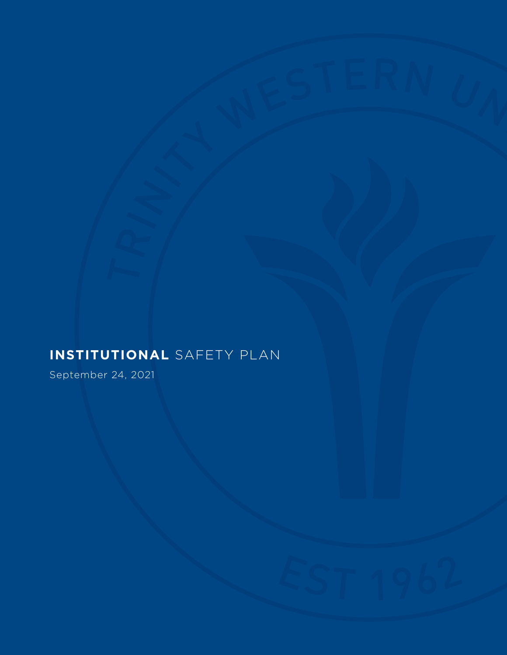# **INSTITUTIONAL** SAFETY PLAN

September 24, 2021

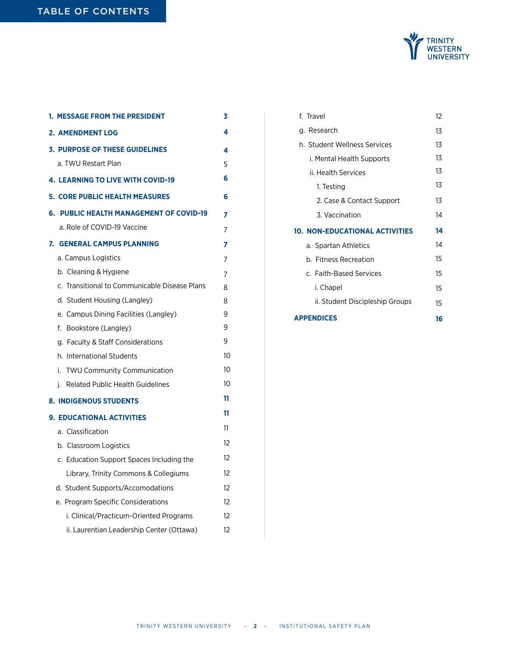

| <b>1. MESSAGE FROM THE PRESIDENT</b>              | 3  |
|---------------------------------------------------|----|
| 2. AMENDMENT LOG                                  | 4  |
| <b>3. PURPOSE OF THESE GUIDELINES</b>             | 4  |
| a. TWU Restart Plan                               | 5  |
| <b>4. LEARNING TO LIVE WITH COVID-19</b>          | 6  |
| <b>5. CORE PUBLIC HEALTH MEASURES</b>             | 6  |
| <b>PUBLIC HEALTH MANAGEMENT OF COVID-19</b><br>6. | 7  |
| a. Role of COVID-19 Vaccine                       | 7  |
| 7.<br><b>GENERAL CAMPUS PLANNING</b>              | 7  |
| a. Campus Logistics                               | 7  |
| b. Cleaning & Hygiene                             | 7  |
| c. Transitional to Communicable Disease Plans     | 8  |
| d. Student Housing (Langley)                      | 8  |
| e. Campus Dining Facilities (Langley)             | 9  |
| f.<br>Bookstore (Langley)                         | 9  |
| g. Faculty & Staff Considerations                 | 9  |
| h. International Students                         | 10 |
| i.<br><b>TWU Community Communication</b>          | 10 |
| <b>Related Public Health Guidelines</b><br>j.     | 10 |
| <b>8. INDIGENOUS STUDENTS</b>                     | 11 |
| <b>9. EDUCATIONAL ACTIVITIES</b>                  | 11 |
| a. Classification                                 | 11 |
| b. Classroom Logistics                            | 12 |
| c. Education Support Spaces Including the         | 12 |
| Library, Trinity Commons & Collegiums             | 12 |
| d. Student Supports/Accomodations                 | 12 |
| e. Program Specific Considerations                | 12 |
| i. Clinical/Practicum-Oriented Programs           | 12 |
| ii. Laurentian Leadership Center (Ottawa)         | 12 |

| f. Travel                       | 12 |
|---------------------------------|----|
| g. Research                     | 13 |
| h. Student Wellness Services    | 13 |
| i. Mental Health Supports       | 13 |
| ii. Health Services             | 13 |
| 1. Testing                      | 13 |
| 2. Case & Contact Support       | 13 |
| 3. Vaccination                  | 14 |
|                                 |    |
| 10. NON-EDUCATIONAL ACTIVITIES  | 14 |
| a. Spartan Athletics            | 14 |
| b. Fitness Recreation           | 15 |
| c. Faith-Based Services         | 15 |
| i. Chapel                       | 15 |
| ii. Student Discipleship Groups | 15 |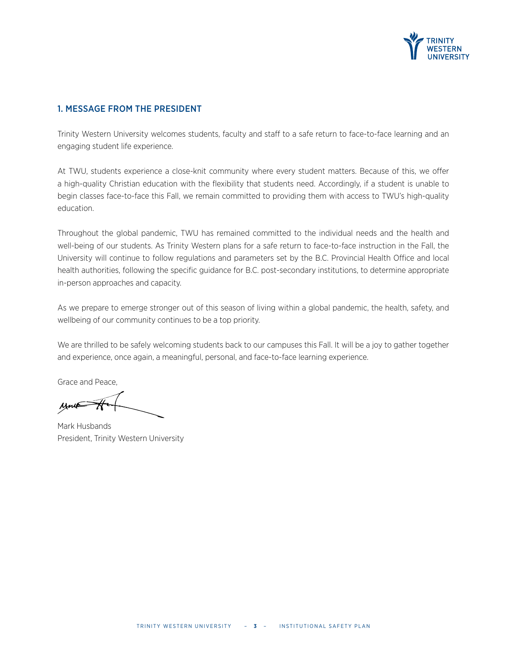

### 1. MESSAGE FROM THE PRESIDENT

Trinity Western University welcomes students, faculty and staff to a safe return to face-to-face learning and an engaging student life experience.

At TWU, students experience a close-knit community where every student matters. Because of this, we offer a high-quality Christian education with the flexibility that students need. Accordingly, if a student is unable to begin classes face-to-face this Fall, we remain committed to providing them with access to TWU's high-quality education.

Throughout the global pandemic, TWU has remained committed to the individual needs and the health and well-being of our students. As Trinity Western plans for a safe return to face-to-face instruction in the Fall, the University will continue to follow regulations and parameters set by the B.C. Provincial Health Office and local health authorities, following the specific guidance for B.C. post-secondary institutions, to determine appropriate in-person approaches and capacity.

As we prepare to emerge stronger out of this season of living within a global pandemic, the health, safety, and wellbeing of our community continues to be a top priority.

We are thrilled to be safely welcoming students back to our campuses this Fall. It will be a joy to gather together and experience, once again, a meaningful, personal, and face-to-face learning experience.

Grace and Peace,

Mark Husbands President, Trinity Western University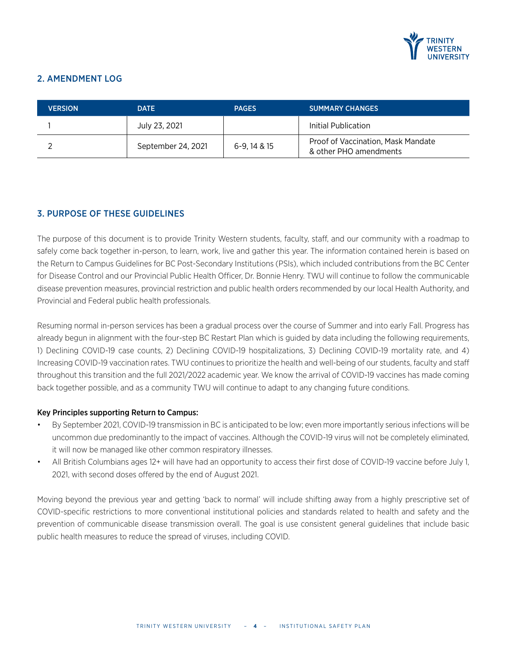

# 2. AMENDMENT LOG

| <b>VERSION</b> | <b>DATE</b>        | <b>PAGES</b> | <b>SUMMARY CHANGES</b>                                       |
|----------------|--------------------|--------------|--------------------------------------------------------------|
|                | July 23, 2021      |              | Initial Publication                                          |
|                | September 24, 2021 | 6-9, 14 & 15 | Proof of Vaccination, Mask Mandate<br>& other PHO amendments |

# 3. PURPOSE OF THESE GUIDELINES

The purpose of this document is to provide Trinity Western students, faculty, staff, and our community with a roadmap to safely come back together in-person, to learn, work, live and gather this year. The information contained herein is based on the Return to Campus Guidelines for BC Post-Secondary Institutions (PSIs), which included contributions from the BC Center for Disease Control and our Provincial Public Health Officer, Dr. Bonnie Henry. TWU will continue to follow the communicable disease prevention measures, provincial restriction and public health orders recommended by our local Health Authority, and Provincial and Federal public health professionals.

Resuming normal in-person services has been a gradual process over the course of Summer and into early Fall. Progress has already begun in alignment with the four-step BC Restart Plan which is guided by data including the following requirements, 1) Declining COVID-19 case counts, 2) Declining COVID-19 hospitalizations, 3) Declining COVID-19 mortality rate, and 4) Increasing COVID-19 vaccination rates. TWU continues to prioritize the health and well-being of our students, faculty and staff throughout this transition and the full 2021/2022 academic year. We know the arrival of COVID-19 vaccines has made coming back together possible, and as a community TWU will continue to adapt to any changing future conditions.

#### Key Principles supporting Return to Campus:

- By September 2021, COVID-19 transmission in BC is anticipated to be low; even more importantly serious infections will be uncommon due predominantly to the impact of vaccines. Although the COVID-19 virus will not be completely eliminated, it will now be managed like other common respiratory illnesses.
- All British Columbians ages 12+ will have had an opportunity to access their first dose of COVID-19 vaccine before July 1, 2021, with second doses offered by the end of August 2021.

Moving beyond the previous year and getting 'back to normal' will include shifting away from a highly prescriptive set of COVID-specific restrictions to more conventional institutional policies and standards related to health and safety and the prevention of communicable disease transmission overall. The goal is use consistent general guidelines that include basic public health measures to reduce the spread of viruses, including COVID.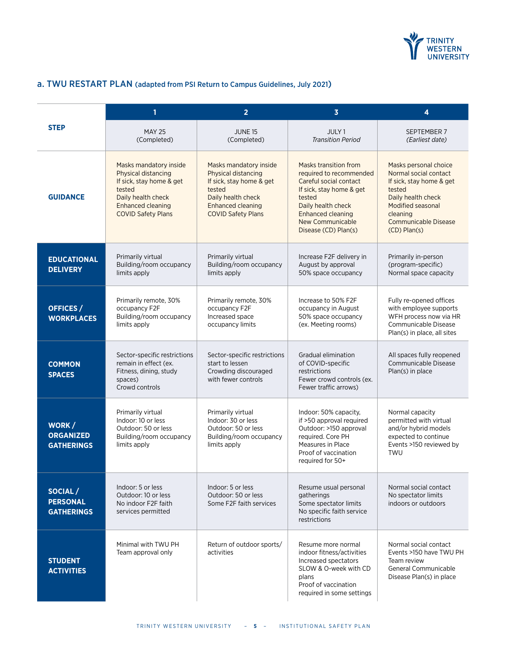

# a. TWU RESTART PLAN (adapted from PSI Return to Campus Guidelines, July 2021)

|                                                 | 1                                                                                                                                                                  | $\overline{2}$                                                                                                                                                            | $\overline{\mathbf{3}}$                                                                                                                                                                                        | 4                                                                                                                                                                                               |
|-------------------------------------------------|--------------------------------------------------------------------------------------------------------------------------------------------------------------------|---------------------------------------------------------------------------------------------------------------------------------------------------------------------------|----------------------------------------------------------------------------------------------------------------------------------------------------------------------------------------------------------------|-------------------------------------------------------------------------------------------------------------------------------------------------------------------------------------------------|
| <b>STEP</b>                                     | <b>MAY 25</b><br>(Completed)                                                                                                                                       | <b>JUNE 15</b><br>(Completed)                                                                                                                                             | JULY <sub>1</sub><br><b>Transition Period</b>                                                                                                                                                                  | SEPTEMBER 7<br>(Earliest date)                                                                                                                                                                  |
| <b>GUIDANCE</b>                                 | Masks mandatory inside<br><b>Physical distancing</b><br>If sick, stay home & get<br>tested<br>Daily health check<br>Enhanced cleaning<br><b>COVID Safety Plans</b> | Masks mandatory inside<br><b>Physical distancing</b><br>If sick, stay home & get<br>tested<br>Daily health check<br><b>Enhanced cleaning</b><br><b>COVID Safety Plans</b> | Masks transition from<br>required to recommended<br>Careful social contact<br>If sick, stay home & get<br>tested<br>Daily health check<br><b>Enhanced cleaning</b><br>New Communicable<br>Disease (CD) Plan(s) | Masks personal choice<br>Normal social contact<br>If sick, stay home & get<br>tested<br>Daily health check<br>Modified seasonal<br>cleaning<br><b>Communicable Disease</b><br>$(CD)$ Plan $(s)$ |
| <b>EDUCATIONAL</b><br><b>DELIVERY</b>           | Primarily virtual<br>Building/room occupancy<br>limits apply                                                                                                       | Primarily virtual<br>Building/room occupancy<br>limits apply                                                                                                              | Increase F2F delivery in<br>August by approval<br>50% space occupancy                                                                                                                                          | Primarily in-person<br>(program-specific)<br>Normal space capacity                                                                                                                              |
| OFFICES /<br><b>WORKPLACES</b>                  | Primarily remote, 30%<br>occupancy F2F<br>Building/room occupancy<br>limits apply                                                                                  | Primarily remote, 30%<br>occupancy F2F<br>Increased space<br>occupancy limits                                                                                             | Increase to 50% F2F<br>occupancy in August<br>50% space occupancy<br>(ex. Meeting rooms)                                                                                                                       | Fully re-opened offices<br>with employee supports<br>WFH process now via HR<br>Communicable Disease<br>Plan(s) in place, all sites                                                              |
| <b>COMMON</b><br><b>SPACES</b>                  | Sector-specific restrictions<br>remain in effect (ex.<br>Fitness, dining, study<br>spaces)<br>Crowd controls                                                       | Sector-specific restrictions<br>start to lessen<br>Crowding discouraged<br>with fewer controls                                                                            | Gradual elimination<br>of COVID-specific<br>restrictions<br>Fewer crowd controls (ex.<br>Fewer traffic arrows)                                                                                                 | All spaces fully reopened<br>Communicable Disease<br>Plan(s) in place                                                                                                                           |
| WORK/<br><b>ORGANIZED</b><br><b>GATHERINGS</b>  | Primarily virtual<br>Indoor: 10 or less<br>Outdoor: 50 or less<br>Building/room occupancy<br>limits apply                                                          | Primarily virtual<br>Indoor: 30 or less<br>Outdoor: 50 or less<br>Building/room occupancy<br>limits apply                                                                 | Indoor: 50% capacity,<br>if >50 approval required<br>Outdoor: >150 approval<br>required. Core PH<br>Measures in Place<br>Proof of vaccination<br>required for 50+                                              | Normal capacity<br>permitted with virtual<br>and/or hybrid models<br>expected to continue<br>Events >150 reviewed by<br>TWU                                                                     |
| SOCIAL/<br><b>PERSONAL</b><br><b>GATHERINGS</b> | Indoor: 5 or less<br>Outdoor: 10 or less<br>No indoor F2F faith<br>services permitted                                                                              | Indoor: 5 or less<br>Outdoor: 50 or less<br>Some F2F faith services                                                                                                       | Resume usual personal<br>gatherings<br>Some spectator limits<br>No specific faith service<br>restrictions                                                                                                      | Normal social contact<br>No spectator limits<br>indoors or outdoors                                                                                                                             |
| <b>STUDENT</b><br><b>ACTIVITIES</b>             | Minimal with TWU PH<br>Team approval only                                                                                                                          | Return of outdoor sports/<br>activities                                                                                                                                   | Resume more normal<br>indoor fitness/activities<br>Increased spectators<br>SLOW & O-week with CD<br>plans<br>Proof of vaccination<br>required in some settings                                                 | Normal social contact<br>Events >150 have TWU PH<br>Team review<br>General Communicable<br>Disease Plan(s) in place                                                                             |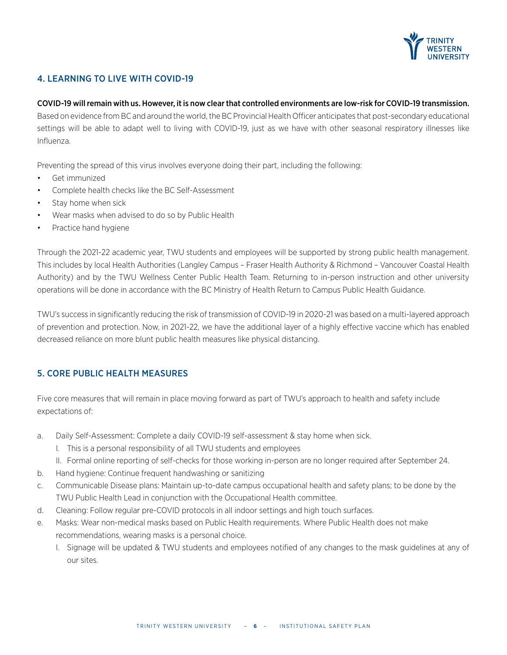

# 4. LEARNING TO LIVE WITH COVID-19

#### COVID-19 will remain with us. However, it is now clear that controlled environments are low-risk for COVID-19 transmission.

Based on evidence from BC and around the world, the BC Provincial Health Officer anticipates that post-secondary educational settings will be able to adapt well to living with COVID-19, just as we have with other seasonal respiratory illnesses like Influenza.

Preventing the spread of this virus involves everyone doing their part, including the following:

- Get immunized
- Complete health checks like the BC Self-Assessment
- Stay home when sick
- Wear masks when advised to do so by Public Health
- Practice hand hygiene

Through the 2021-22 academic year, TWU students and employees will be supported by strong public health management. This includes by local Health Authorities (Langley Campus – Fraser Health Authority & Richmond – Vancouver Coastal Health Authority) and by the TWU Wellness Center Public Health Team. Returning to in-person instruction and other university operations will be done in accordance with the BC Ministry of Health Return to Campus Public Health Guidance.

TWU's success in significantly reducing the risk of transmission of COVID-19 in 2020-21 was based on a multi-layered approach of prevention and protection. Now, in 2021-22, we have the additional layer of a highly effective vaccine which has enabled decreased reliance on more blunt public health measures like physical distancing.

# 5. CORE PUBLIC HEALTH MEASURES

Five core measures that will remain in place moving forward as part of TWU's approach to health and safety include expectations of:

- a. Daily Self-Assessment: Complete a daily COVID-19 self-assessment & stay home when sick.
	- I. This is a personal responsibility of all TWU students and employees
	- II. Formal online reporting of self-checks for those working in-person are no longer required after September 24.
- b. Hand hygiene: Continue frequent handwashing or sanitizing
- c. Communicable Disease plans: Maintain up-to-date campus occupational health and safety plans; to be done by the TWU Public Health Lead in conjunction with the Occupational Health committee.
- d. Cleaning: Follow regular pre-COVID protocols in all indoor settings and high touch surfaces.
- e. Masks: Wear non-medical masks based on Public Health requirements. Where Public Health does not make recommendations, wearing masks is a personal choice.
	- I. Signage will be updated & TWU students and employees notified of any changes to the mask guidelines at any of our sites.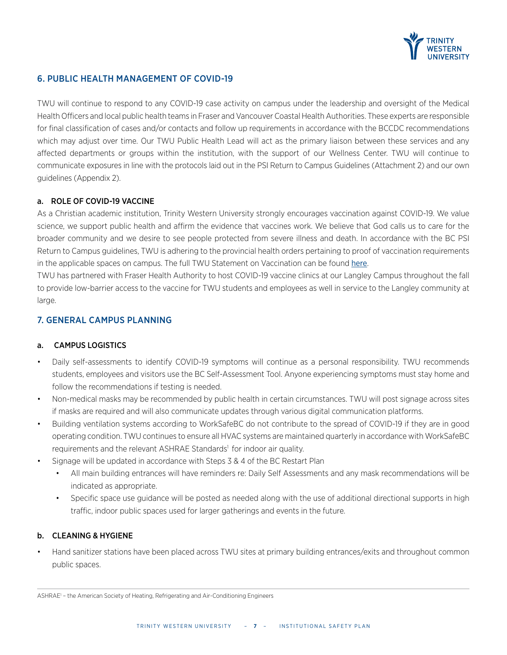

# 6. PUBLIC HEALTH MANAGEMENT OF COVID-19

TWU will continue to respond to any COVID-19 case activity on campus under the leadership and oversight of the Medical Health Officers and local public health teams in Fraser and Vancouver Coastal Health Authorities. These experts are responsible for final classification of cases and/or contacts and follow up requirements in accordance with the BCCDC recommendations which may adjust over time. Our TWU Public Health Lead will act as the primary liaison between these services and any affected departments or groups within the institution, with the support of our Wellness Center. TWU will continue to communicate exposures in line with the protocols laid out in the PSI Return to Campus Guidelines (Attachment 2) and our own guidelines (Appendix 2).

#### a. ROLE OF COVID-19 VACCINE

As a Christian academic institution, Trinity Western University strongly encourages vaccination against COVID-19. We value science, we support public health and affirm the evidence that vaccines work. We believe that God calls us to care for the broader community and we desire to see people protected from severe illness and death. In accordance with the BC PSI Return to Campus guidelines, TWU is adhering to the provincial health orders pertaining to proof of vaccination requirements in the applicable spaces on campus. The full TWU Statement on Vaccination can be found [here](https://www.twu.ca/news-events/news/trinity-western-university-strongly-encouraging-covid-19-vaccination).

TWU has partnered with Fraser Health Authority to host COVID-19 vaccine clinics at our Langley Campus throughout the fall to provide low-barrier access to the vaccine for TWU students and employees as well in service to the Langley community at large.

# 7. GENERAL CAMPUS PLANNING

#### a. CAMPUS LOGISTICS

- Daily self-assessments to identify COVID-19 symptoms will continue as a personal responsibility. TWU recommends students, employees and visitors use the BC Self-Assessment Tool. Anyone experiencing symptoms must stay home and follow the recommendations if testing is needed.
- Non-medical masks may be recommended by public health in certain circumstances. TWU will post signage across sites if masks are required and will also communicate updates through various digital communication platforms.
- Building ventilation systems according to WorkSafeBC do not contribute to the spread of COVID-19 if they are in good operating condition. TWU continues to ensure all HVAC systems are maintained quarterly in accordance with WorkSafeBC requirements and the relevant ASHRAE Standards<sup>1</sup> for indoor air quality.
- Signage will be updated in accordance with Steps 3 & 4 of the BC Restart Plan
	- All main building entrances will have reminders re: Daily Self Assessments and any mask recommendations will be indicated as appropriate.
	- Specific space use guidance will be posted as needed along with the use of additional directional supports in high traffic, indoor public spaces used for larger gatherings and events in the future.

#### b. CLEANING & HYGIENE

• Hand sanitizer stations have been placed across TWU sites at primary building entrances/exits and throughout common public spaces.

ASHRAE<sup>1</sup> - the American Society of Heating, Refrigerating and Air-Conditioning Engineers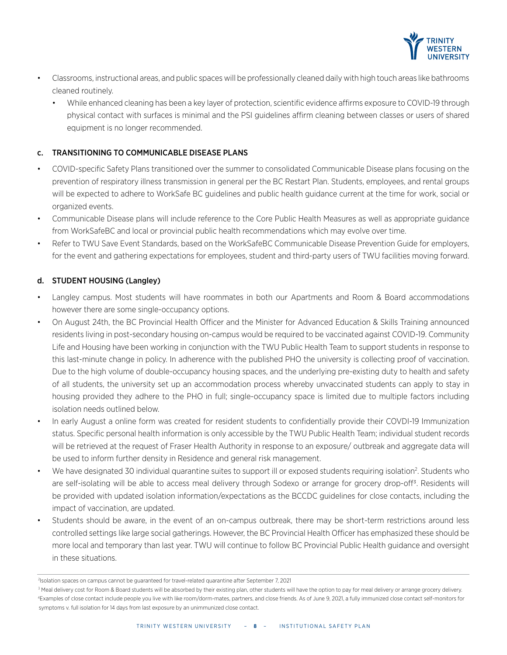

- Classrooms, instructional areas, and public spaces will be professionally cleaned daily with high touch areas like bathrooms cleaned routinely.
	- While enhanced cleaning has been a key layer of protection, scientific evidence affirms exposure to COVID-19 through physical contact with surfaces is minimal and the PSI guidelines affirm cleaning between classes or users of shared equipment is no longer recommended.

### c. TRANSITIONING TO COMMUNICABLE DISEASE PLANS

- COVID-specific Safety Plans transitioned over the summer to consolidated Communicable Disease plans focusing on the prevention of respiratory illness transmission in general per the BC Restart Plan. Students, employees, and rental groups will be expected to adhere to WorkSafe BC guidelines and public health guidance current at the time for work, social or organized events.
- Communicable Disease plans will include reference to the Core Public Health Measures as well as appropriate guidance from WorkSafeBC and local or provincial public health recommendations which may evolve over time.
- Refer to TWU Save Event Standards, based on the WorkSafeBC Communicable Disease Prevention Guide for employers, for the event and gathering expectations for employees, student and third-party users of TWU facilities moving forward.

# d. STUDENT HOUSING (Langley)

- Langley campus. Most students will have roommates in both our Apartments and Room & Board accommodations however there are some single-occupancy options.
- On August 24th, the BC Provincial Health Officer and the Minister for Advanced Education & Skills Training announced residents living in post-secondary housing on-campus would be required to be vaccinated against COVID-19. Community Life and Housing have been working in conjunction with the TWU Public Health Team to support students in response to this last-minute change in policy. In adherence with the published PHO the university is collecting proof of vaccination. Due to the high volume of double-occupancy housing spaces, and the underlying pre-existing duty to health and safety of all students, the university set up an accommodation process whereby unvaccinated students can apply to stay in housing provided they adhere to the PHO in full; single-occupancy space is limited due to multiple factors including isolation needs outlined below.
- In early August a online form was created for resident students to confidentially provide their COVDI-19 Immunization status. Specific personal health information is only accessible by the TWU Public Health Team; individual student records will be retrieved at the request of Fraser Health Authority in response to an exposure/ outbreak and aggregate data will be used to inform further density in Residence and general risk management.
- We have designated 30 individual quarantine suites to support ill or exposed students requiring isolation<sup>2</sup>. Students who are self-isolating will be able to access meal delivery through Sodexo or arrange for grocery drop-off3. Residents will be provided with updated isolation information/expectations as the BCCDC guidelines for close contacts, including the impact of vaccination, are updated.
- Students should be aware, in the event of an on-campus outbreak, there may be short-term restrictions around less controlled settings like large social gatherings. However, the BC Provincial Health Officer has emphasized these should be more local and temporary than last year. TWU will continue to follow BC Provincial Public Health guidance and oversight in these situations.

<sup>2</sup> Isolation spaces on campus cannot be guaranteed for travel-related quarantine after September 7, 2021

<sup>&</sup>lt;sup>3</sup> Meal delivery cost for Room & Board students will be absorbed by their existing plan, other students will have the option to pay for meal delivery or arrange grocery delivery. 4 Examples of close contact include people you live with like room/dorm-mates, partners, and close friends. As of June 9, 2021, a fully immunized close contact self-monitors for symptoms v. full isolation for 14 days from last exposure by an unimmunized close contact.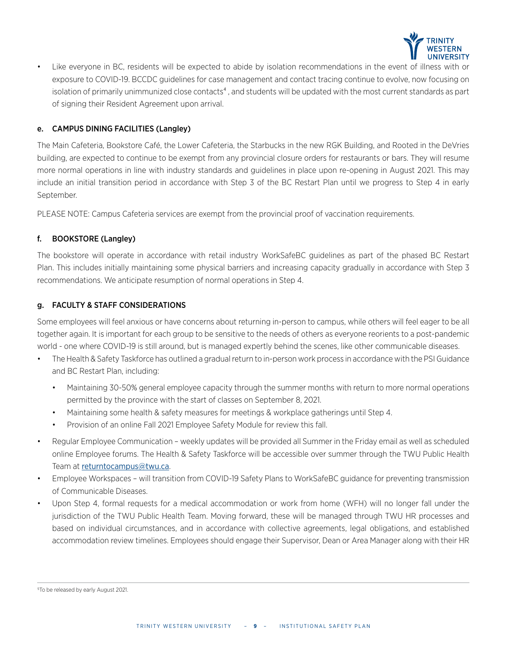

• Like everyone in BC, residents will be expected to abide by isolation recommendations in the event of illness with or exposure to COVID-19. BCCDC guidelines for case management and contact tracing continue to evolve, now focusing on isolation of primarily unimmunized close contacts<sup>4</sup>, and students will be updated with the most current standards as part of signing their Resident Agreement upon arrival.

#### e. CAMPUS DINING FACILITIES (Langley)

The Main Cafeteria, Bookstore Café, the Lower Cafeteria, the Starbucks in the new RGK Building, and Rooted in the DeVries building, are expected to continue to be exempt from any provincial closure orders for restaurants or bars. They will resume more normal operations in line with industry standards and guidelines in place upon re-opening in August 2021. This may include an initial transition period in accordance with Step 3 of the BC Restart Plan until we progress to Step 4 in early September.

PLEASE NOTE: Campus Cafeteria services are exempt from the provincial proof of vaccination requirements.

#### f. BOOKSTORE (Langley)

The bookstore will operate in accordance with retail industry WorkSafeBC guidelines as part of the phased BC Restart Plan. This includes initially maintaining some physical barriers and increasing capacity gradually in accordance with Step 3 recommendations. We anticipate resumption of normal operations in Step 4.

#### g. FACULTY & STAFF CONSIDERATIONS

Some employees will feel anxious or have concerns about returning in-person to campus, while others will feel eager to be all together again. It is important for each group to be sensitive to the needs of others as everyone reorients to a post-pandemic world - one where COVID-19 is still around, but is managed expertly behind the scenes, like other communicable diseases.

- The Health & Safety Taskforce has outlined a gradual return to in-person work process in accordance with the PSI Guidance and BC Restart Plan, including:
	- Maintaining 30-50% general employee capacity through the summer months with return to more normal operations permitted by the province with the start of classes on September 8, 2021.
	- Maintaining some health & safety measures for meetings & workplace gatherings until Step 4.
	- Provision of an online Fall 2021 Employee Safety Module for review this fall.
- Regular Employee Communication weekly updates will be provided all Summer in the Friday email as well as scheduled online Employee forums. The Health & Safety Taskforce will be accessible over summer through the TWU Public Health Team at [returntocampus@twu.ca](mailto:returntocampus%40twu.ca?subject=).
- Employee Workspaces will transition from COVID-19 Safety Plans to WorkSafeBC guidance for preventing transmission of Communicable Diseases.
- Upon Step 4, formal requests for a medical accommodation or work from home (WFH) will no longer fall under the jurisdiction of the TWU Public Health Team. Moving forward, these will be managed through TWU HR processes and based on individual circumstances, and in accordance with collective agreements, legal obligations, and established accommodation review timelines. Employees should engage their Supervisor, Dean or Area Manager along with their HR

<sup>5</sup>To be released by early August 2021.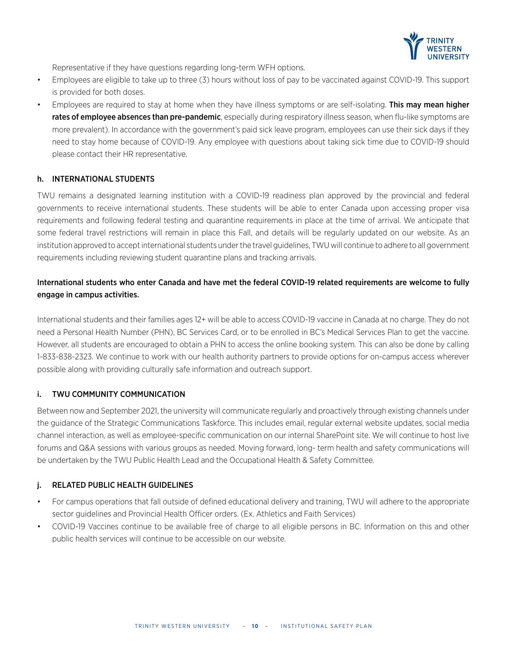

Representative if they have questions regarding long-term WFH options.

- Employees are eligible to take up to three (3) hours without loss of pay to be vaccinated against COVID-19. This support is provided for both doses.
- Employees are required to stay at home when they have illness symptoms or are self-isolating. This may mean higher rates of employee absences than pre-pandemic, especially during respiratory illness season, when flu-like symptoms are more prevalent). In accordance with the government's paid sick leave program, employees can use their sick days if they need to stay home because of COVID-19. Any employee with questions about taking sick time due to COVID-19 should please contact their HR representative.

#### h. INTERNATIONAL STUDENTS

TWU remains a designated learning institution with a COVID-19 readiness plan approved by the provincial and federal governments to receive international students. These students will be able to enter Canada upon accessing proper visa requirements and following federal testing and quarantine requirements in place at the time of arrival. We anticipate that some federal travel restrictions will remain in place this Fall, and details will be regularly updated on our website. As an institution approved to accept international students under the travel guidelines, TWU will continue to adhere to all government requirements including reviewing student quarantine plans and tracking arrivals.

# International students who enter Canada and have met the federal COVID-19 related requirements are welcome to fully engage in campus activities.

International students and their families ages 12+ will be able to access COVID-19 vaccine in Canada at no charge. They do not need a Personal Health Number (PHN), BC Services Card, or to be enrolled in BC's Medical Services Plan to get the vaccine. However, all students are encouraged to obtain a PHN to access the online booking system. This can also be done by calling 1-833-838-2323. We continue to work with our health authority partners to provide options for on-campus access wherever possible along with providing culturally safe information and outreach support.

#### i. TWU COMMUNITY COMMUNICATION

Between now and September 2021, the university will communicate regularly and proactively through existing channels under the guidance of the Strategic Communications Taskforce. This includes email, regular external website updates, social media channel interaction, as well as employee-specific communication on our internal SharePoint site. We will continue to host live forums and Q&A sessions with various groups as needed. Moving forward, long- term health and safety communications will be undertaken by the TWU Public Health Lead and the Occupational Health & Safety Committee.

#### j. RELATED PUBLIC HEALTH GUIDELINES

- For campus operations that fall outside of defined educational delivery and training, TWU will adhere to the appropriate sector guidelines and Provincial Health Officer orders. (Ex. Athletics and Faith Services)
- COVID-19 Vaccines continue to be available free of charge to all eligible persons in BC. Information on this and other public health services will continue to be accessible on our website.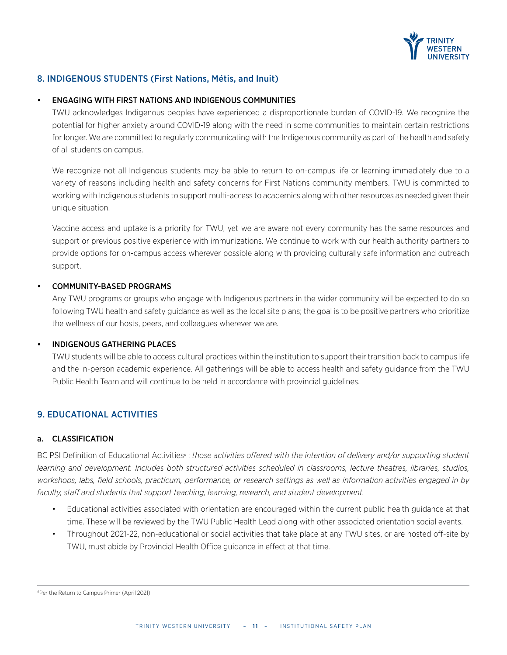

# 8. INDIGENOUS STUDENTS (First Nations, Métis, and Inuit)

#### • ENGAGING WITH FIRST NATIONS AND INDIGENOUS COMMUNITIES

TWU acknowledges Indigenous peoples have experienced a disproportionate burden of COVID-19. We recognize the potential for higher anxiety around COVID-19 along with the need in some communities to maintain certain restrictions for longer. We are committed to regularly communicating with the Indigenous community as part of the health and safety of all students on campus.

We recognize not all Indigenous students may be able to return to on-campus life or learning immediately due to a variety of reasons including health and safety concerns for First Nations community members. TWU is committed to working with Indigenous students to support multi-access to academics along with other resources as needed given their unique situation.

Vaccine access and uptake is a priority for TWU, yet we are aware not every community has the same resources and support or previous positive experience with immunizations. We continue to work with our health authority partners to provide options for on-campus access wherever possible along with providing culturally safe information and outreach support.

#### • COMMUNITY-BASED PROGRAMS

Any TWU programs or groups who engage with Indigenous partners in the wider community will be expected to do so following TWU health and safety guidance as well as the local site plans; the goal is to be positive partners who prioritize the wellness of our hosts, peers, and colleagues wherever we are.

#### • INDIGENOUS GATHERING PLACES

TWU students will be able to access cultural practices within the institution to support their transition back to campus life and the in-person academic experience. All gatherings will be able to access health and safety guidance from the TWU Public Health Team and will continue to be held in accordance with provincial guidelines.

# 9. EDUCATIONAL ACTIVITIES

#### a. CLASSIFICATION

BC PSI Definition of Educational Activities<sup>6</sup> : those activities offered with the intention of delivery and/or supporting student *learning and development. Includes both structured activities scheduled in classrooms, lecture theatres, libraries, studios, workshops, labs, field schools, practicum, performance, or research settings as well as information activities engaged in by faculty, staff and students that support teaching, learning, research, and student development.*

- Educational activities associated with orientation are encouraged within the current public health guidance at that time. These will be reviewed by the TWU Public Health Lead along with other associated orientation social events.
- Throughout 2021-22, non-educational or social activities that take place at any TWU sites, or are hosted off-site by TWU, must abide by Provincial Health Office guidance in effect at that time.

6Per the Return to Campus Primer (April 2021)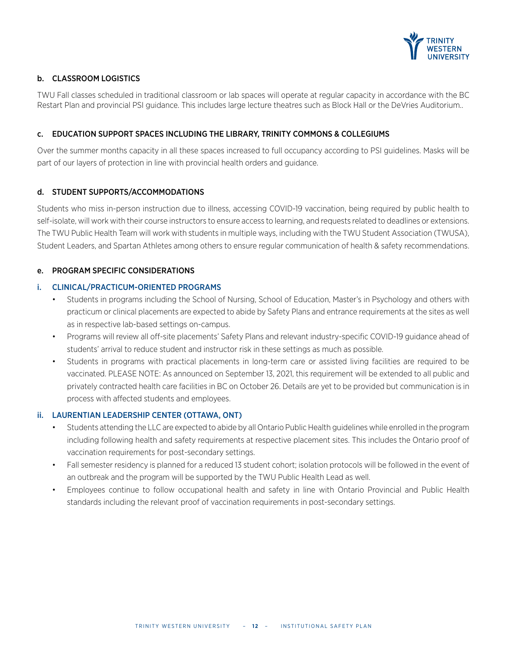

# b. CLASSROOM LOGISTICS

TWU Fall classes scheduled in traditional classroom or lab spaces will operate at regular capacity in accordance with the BC Restart Plan and provincial PSI guidance. This includes large lecture theatres such as Block Hall or the DeVries Auditorium..

#### c. EDUCATION SUPPORT SPACES INCLUDING THE LIBRARY, TRINITY COMMONS & COLLEGIUMS

Over the summer months capacity in all these spaces increased to full occupancy according to PSI guidelines. Masks will be part of our layers of protection in line with provincial health orders and guidance.

#### d. STUDENT SUPPORTS/ACCOMMODATIONS

Students who miss in-person instruction due to illness, accessing COVID-19 vaccination, being required by public health to self-isolate, will work with their course instructors to ensure access to learning, and requests related to deadlines or extensions. The TWU Public Health Team will work with students in multiple ways, including with the TWU Student Association (TWUSA), Student Leaders, and Spartan Athletes among others to ensure regular communication of health & safety recommendations.

#### e. PROGRAM SPECIFIC CONSIDERATIONS

#### i. CLINICAL/PRACTICUM-ORIENTED PROGRAMS

- Students in programs including the School of Nursing, School of Education, Master's in Psychology and others with practicum or clinical placements are expected to abide by Safety Plans and entrance requirements at the sites as well as in respective lab-based settings on-campus.
- Programs will review all off-site placements' Safety Plans and relevant industry-specific COVID-19 guidance ahead of students' arrival to reduce student and instructor risk in these settings as much as possible.
- Students in programs with practical placements in long-term care or assisted living facilities are required to be vaccinated. PLEASE NOTE: As announced on September 13, 2021, this requirement will be extended to all public and privately contracted health care facilities in BC on October 26. Details are yet to be provided but communication is in process with affected students and employees.

#### ii. LAURENTIAN LEADERSHIP CENTER (OTTAWA, ONT)

- Students attending the LLC are expected to abide by all Ontario Public Health guidelines while enrolled in the program including following health and safety requirements at respective placement sites. This includes the Ontario proof of vaccination requirements for post-secondary settings.
- Fall semester residency is planned for a reduced 13 student cohort; isolation protocols will be followed in the event of an outbreak and the program will be supported by the TWU Public Health Lead as well.
- Employees continue to follow occupational health and safety in line with Ontario Provincial and Public Health standards including the relevant proof of vaccination requirements in post-secondary settings.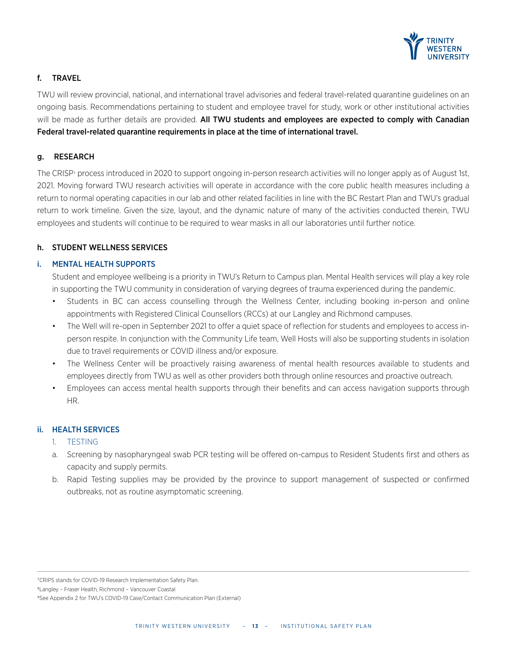

#### f. TRAVEL

TWU will review provincial, national, and international travel advisories and federal travel-related quarantine guidelines on an ongoing basis. Recommendations pertaining to student and employee travel for study, work or other institutional activities will be made as further details are provided. All TWU students and employees are expected to comply with Canadian Federal travel-related quarantine requirements in place at the time of international travel.

#### g. RESEARCH

The CRISP<sup>7</sup> process introduced in 2020 to support ongoing in-person research activities will no longer apply as of August 1st, 2021. Moving forward TWU research activities will operate in accordance with the core public health measures including a return to normal operating capacities in our lab and other related facilities in line with the BC Restart Plan and TWU's gradual return to work timeline. Given the size, layout, and the dynamic nature of many of the activities conducted therein, TWU employees and students will continue to be required to wear masks in all our laboratories until further notice.

#### h. STUDENT WELLNESS SERVICES

#### i. MENTAL HEALTH SUPPORTS

Student and employee wellbeing is a priority in TWU's Return to Campus plan. Mental Health services will play a key role in supporting the TWU community in consideration of varying degrees of trauma experienced during the pandemic.

- Students in BC can access counselling through the Wellness Center, including booking in-person and online appointments with Registered Clinical Counsellors (RCCs) at our Langley and Richmond campuses.
- The Well will re-open in September 2021 to offer a quiet space of reflection for students and employees to access inperson respite. In conjunction with the Community Life team, Well Hosts will also be supporting students in isolation due to travel requirements or COVID illness and/or exposure.
- The Wellness Center will be proactively raising awareness of mental health resources available to students and employees directly from TWU as well as other providers both through online resources and proactive outreach.
- Employees can access mental health supports through their benefits and can access navigation supports through HR.

#### ii. HEALTH SERVICES

- 1. TESTING
- a. Screening by nasopharyngeal swab PCR testing will be offered on-campus to Resident Students first and others as capacity and supply permits.
- b. Rapid Testing supplies may be provided by the province to support management of suspected or confirmed outbreaks, not as routine asymptomatic screening.

7CRIPS stands for COVID-19 Research Implementation Safety Plan.

8Langley – Fraser Health, Richmond – Vancouver Coastal

<sup>9</sup>See Appendix 2 for TWU's COVID-19 Case/Contact Communication Plan (External)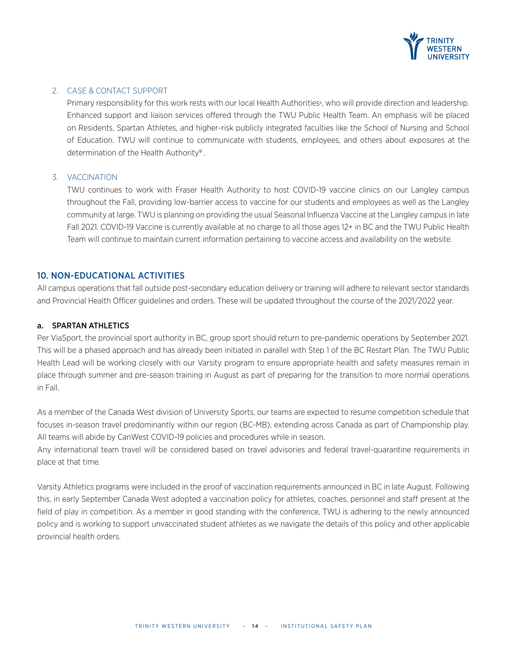

### 2. CASE & CONTACT SUPPORT

Primary responsibility for this work rests with our local Health Authorities<sup>®</sup>, who will provide direction and leadership. Enhanced support and liaison services offered through the TWU Public Health Team. An emphasis will be placed on Residents, Spartan Athletes, and higher-risk publicly integrated faculties like the School of Nursing and School of Education. TWU will continue to communicate with students, employees, and others about exposures at the determination of the Health Authority<sup>9</sup>.

#### 3. VACCINATION

TWU continues to work with Fraser Health Authority to host COVID-19 vaccine clinics on our Langley campus throughout the Fall, providing low-barrier access to vaccine for our students and employees as well as the Langley community at large. TWU is planning on providing the usual Seasonal Influenza Vaccine at the Langley campus in late Fall 2021. COVID-19 Vaccine is currently available at no charge to all those ages 12+ in BC and the TWU Public Health Team will continue to maintain current information pertaining to vaccine access and availability on the website.

#### 10. NON-EDUCATIONAL ACTIVITIES

All campus operations that fall outside post-secondary education delivery or training will adhere to relevant sector standards and Provincial Health Officer guidelines and orders. These will be updated throughout the course of the 2021/2022 year.

#### a. SPARTAN ATHLETICS

Per ViaSport, the provincial sport authority in BC, group sport should return to pre-pandemic operations by September 2021. This will be a phased approach and has already been initiated in parallel with Step 1 of the BC Restart Plan. The TWU Public Health Lead will be working closely with our Varsity program to ensure appropriate health and safety measures remain in place through summer and pre-season training in August as part of preparing for the transition to more normal operations in Fall.

As a member of the Canada West division of University Sports, our teams are expected to resume competition schedule that focuses in-season travel predominantly within our region (BC-MB), extending across Canada as part of Championship play. All teams will abide by CanWest COVID-19 policies and procedures while in season.

Any international team travel will be considered based on travel advisories and federal travel-quarantine requirements in place at that time.

Varsity Athletics programs were included in the proof of vaccination requirements announced in BC in late August. Following this, in early September Canada West adopted a vaccination policy for athletes, coaches, personnel and staff present at the field of play in competition. As a member in good standing with the conference, TWU is adhering to the newly announced policy and is working to support unvaccinated student athletes as we navigate the details of this policy and other applicable provincial health orders.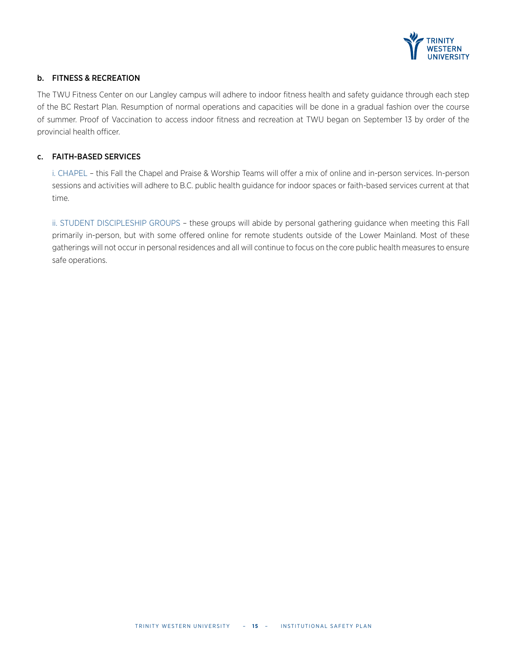

#### b. FITNESS & RECREATION

The TWU Fitness Center on our Langley campus will adhere to indoor fitness health and safety guidance through each step of the BC Restart Plan. Resumption of normal operations and capacities will be done in a gradual fashion over the course of summer. Proof of Vaccination to access indoor fitness and recreation at TWU began on September 13 by order of the provincial health officer.

#### c. FAITH-BASED SERVICES

i. CHAPEL – this Fall the Chapel and Praise & Worship Teams will offer a mix of online and in-person services. In-person sessions and activities will adhere to B.C. public health guidance for indoor spaces or faith-based services current at that time.

ii. STUDENT DISCIPLESHIP GROUPS – these groups will abide by personal gathering guidance when meeting this Fall primarily in-person, but with some offered online for remote students outside of the Lower Mainland. Most of these gatherings will not occur in personal residences and all will continue to focus on the core public health measures to ensure safe operations.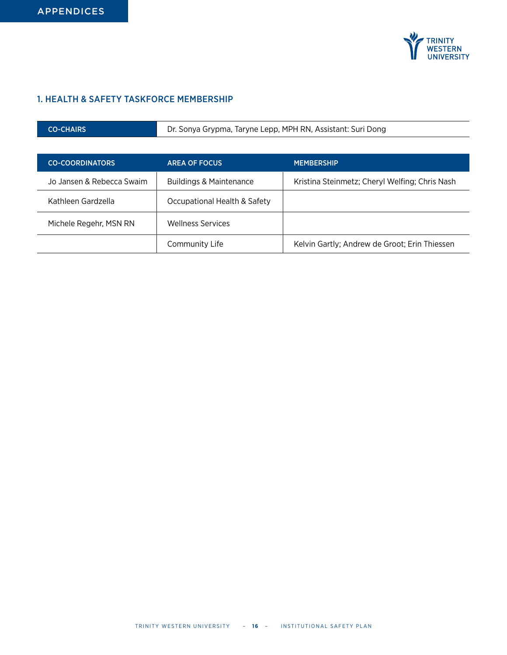

# 1. HEALTH & SAFETY TASKFORCE MEMBERSHIP

| <b>CO-CHAIRS</b>          | Dr. Sonya Grypma, Taryne Lepp, MPH RN, Assistant: Suri Dong |                                                |  |
|---------------------------|-------------------------------------------------------------|------------------------------------------------|--|
|                           |                                                             |                                                |  |
| <b>CO-COORDINATORS</b>    | <b>AREA OF FOCUS</b>                                        | <b>MEMBERSHIP</b>                              |  |
| Jo Jansen & Rebecca Swaim | <b>Buildings &amp; Maintenance</b>                          | Kristina Steinmetz; Cheryl Welfing; Chris Nash |  |
| Kathleen Gardzella        | Occupational Health & Safety                                |                                                |  |
| Michele Regehr, MSN RN    | <b>Wellness Services</b>                                    |                                                |  |
|                           | Community Life                                              | Kelvin Gartly; Andrew de Groot; Erin Thiessen  |  |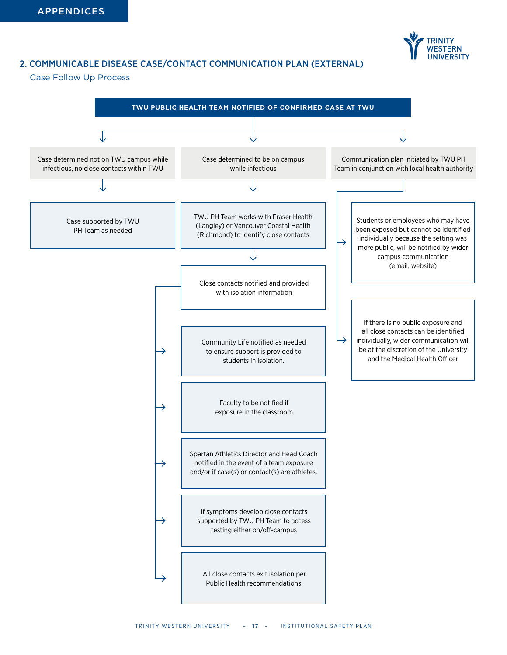

# 2. COMMUNICABLE DISEASE CASE/CONTACT COMMUNICATION PLAN (EXTERNAL)

#### Case Follow Up Process